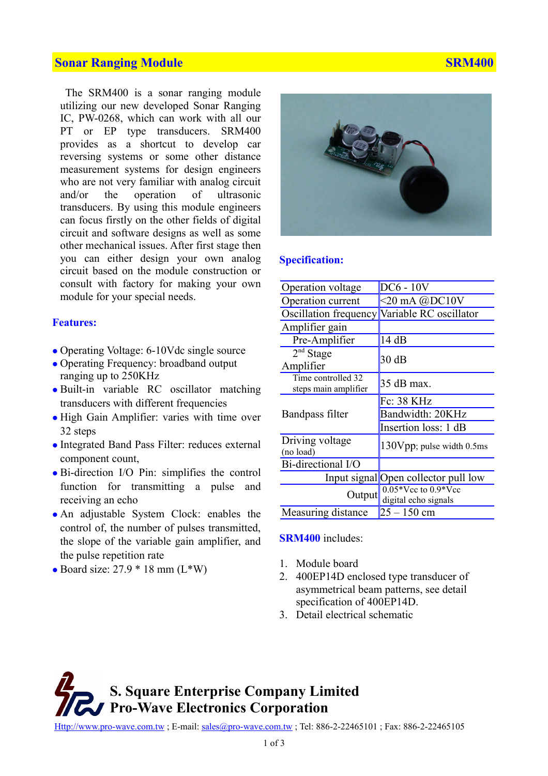## **Sonar Ranging Module Strategie SRM400** SRM400

The SRM400 is a sonar ranging module utilizing our new developed Sonar Ranging IC, PW-0268, which can work with all our PT or EP type transducers. SRM400 provides as a shortcut to develop car reversing systems or some other distance measurement systems for design engineers who are not very familiar with analog circuit and/or the operation of ultrasonic transducers. By using this module engineers can focus firstly on the other fields of digital circuit and software designs as well as some other mechanical issues. After first stage then you can either design your own analog circuit based on the module construction or consult with factory for making your own module for your special needs.

### **Features:**

- Operating Voltage: 6-10Vdc single source
- Operating Frequency: broadband output ranging up to 250KHz
- Built-in variable RC oscillator matching transducers with different frequencies
- High Gain Amplifier: varies with time over 32 steps
- Integrated Band Pass Filter: reduces external component count,
- Bi-direction I/O Pin: simplifies the control function for transmitting a pulse and receiving an echo
- An adjustable System Clock: enables the control of, the number of pulses transmitted, the slope of the variable gain amplifier, and the pulse repetition rate
- $\bullet$  Board size: 27.9  $*$  18 mm (L $*$ W)



#### **Specification:**

| Operation voltage                          | $DC6 - 10V$                                  |
|--------------------------------------------|----------------------------------------------|
| Operation current                          | $<$ 20 mA $@$ DC10V                          |
|                                            | Oscillation frequency Variable RC oscillator |
| Amplifier gain                             |                                              |
| Pre-Amplifier                              | 14dB                                         |
| $2nd$ Stage<br>Amplifier                   | 30dB                                         |
| Time controlled 32<br>steps main amplifier | 35 dB max.                                   |
|                                            | Fc: 38 KHz                                   |
| Bandpass filter                            | Bandwidth: 20KHz                             |
|                                            | Insertion loss: 1 dB                         |
| Driving voltage<br>(no load)               | 130Vpp; pulse width 0.5ms                    |
| Bi-directional I/O                         |                                              |
|                                            | Input signal Open collector pull low         |
| Output                                     | $0.05*$ Vcc to $0.9*$ Vcc                    |
|                                            | digital echo signals                         |
| Measuring distance                         | $25 - 150$ cm                                |

**SRM400** includes:

- 1. Module board
- 2. 400EP14D enclosed type transducer of asymmetrical beam patterns, see detail specification of 400EP14D.
- 3. Detail electrical schematic

**S. Square Enterprise Company Limited Pro-Wave Electronics Corporation**

[Http://www.pro-wave.com.tw](http://www.prowave.com.tw/) ; E-mail: [sales@pro-wave.com.tw](mailto:sales@pro-wave.com.tw) ; Tel: 886-2-22465101 ; Fax: 886-2-22465105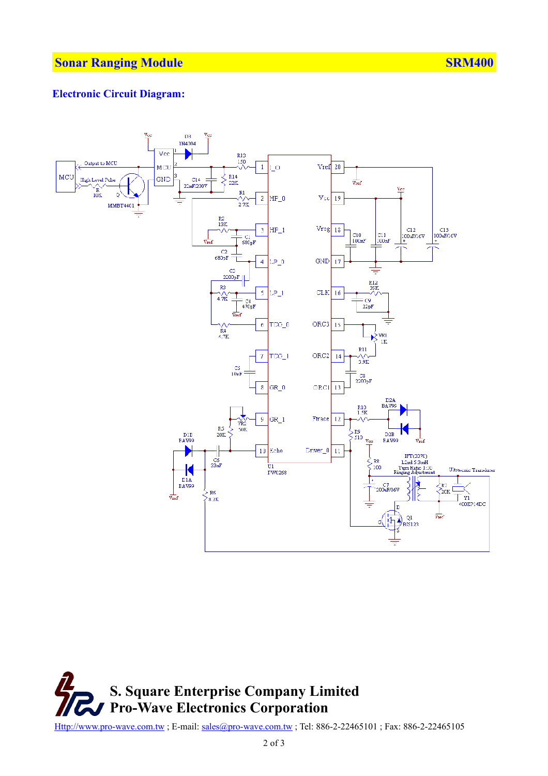### **Electronic Circuit Diagram:**